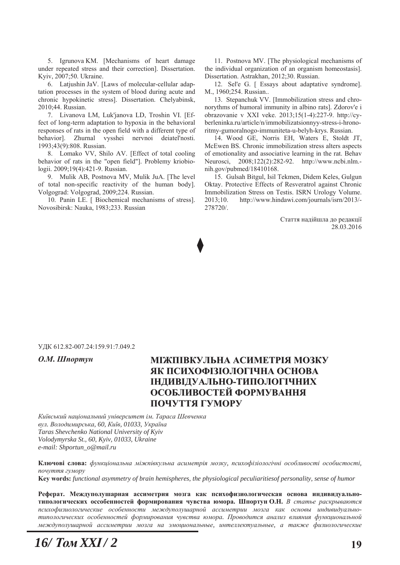5. Igrunova KM. [Mechanisms of heart damage under repeated stress and their correction]. Dissertation. Kyiv, 2007;50. Ukraine.

6. Latjushin JaV. [Laws of molecular-cellular adaptation processes in the system of blood during acute and chronic hypokinetic stress]. Dissertation. Chelyabinsk, 2010;44. Russian.

7. Livanova LM, Luk'janova LD, Troshin VI. [Effect of long-term adaptation to hypoxia in the behavioral responses of rats in the open field with a different type of behavior]. Zhurnal vysshei nervnoi deiatel'nosti. 1993:43(9):808. Russian.

8. Lomako VV, Shilo AV. [Effect of total cooling behavior of rats in the "open field"]. Problemy kriobiologii. 2009;19(4):421-9. Russian.

9. Mulik AB, Postnova MV, Mulik JuA. [The level of total non-specific reactivity of the human body]. Volgograd: Volgograd, 2009;224. Russian.

10. Panin LE. [ Biochemical mechanisms of stress]. Novosibirsk: Nauka, 1983;233. Russian

11. Postnova MV. [The physiological mechanisms of the individual organization of an organism homeostasis]. Dissertation. Astrakhan, 2012;30. Russian.

12. Sel'e G. [ Essays about adaptative syndrome]. M., 1960;254. Russian..

13. Stepanchuk VV. [Immobilization stress and chronorythms of humoral immunity in albino rats]. Zdorov'e i obrazovanie v XXI veke. 2013;15(1-4):227-9. http://cyberleninka.ru/article/n/immobilizatsionnyv-stress-i-hronoritmy-gumoralnogo-immuniteta-u-belyh-krys. Russian.

14. Wood GE, Norris EH, Waters E, Stoldt JT, McEwen BS. Chronic immobilization stress alters aspects of emotionality and associative learning in the rat. Behav Neurosci, 2008;122(2):282-92. http://www.ncbi.nlm.nih.gov/pubmed/18410168.

15. Gulsah Bitgul, Isil Tekmen, Didem Keles, Gulgun Oktay. Protective Effects of Resveratrol against Chronic Immobilization Stress on Testis. ISRN Urology Volume. 2013;10. http://www.hindawi.com/journals/isrn/2013/-278720/.

> Стаття надійшла до редакції 28.03.2016

#### УДК 612.82-007.24:159.91:7.049.2

# О.М. Шпортун МІЖПІВКУЛЬНА АСИМЕТРІЯ МОЗКУ **ЯК ПСИХОФІЗІОЛОГІЧНА ОСНОВА ІНДИВІДУАЛЬНО-ТИПОЛОГІЧНИХ ОСОБЛИВОСТЕЙ ФОРМУВАННЯ** ПОЧУТТЯ ГУМОРУ

*Ʉɢʀɜɫɶɤɢɣ ɧɚɰɿɨɧɚɥɶɧɢɣ ɭɧɿɜɟɪɫɢɬɟɬ ɿɦ. Ɍɚɪɚɫɚ ɒɟɜɱɟɧɤɚ*  $g_{VJ}$ . Володимирська, 60, Київ, 01033, Україна *Taras Shevchenko National University of Kyiv Volodymyrska St., 60, Kyiv, 01033, Ukraine e-mail: Shportun\_o@mail.ru* 

Ключові слова: функціональна міжпівкульна асиметрія мозку, психофізіологічні особливості особистості,  $\hbar$  *почуття гумору* **Key words:** functional asymmetry of brain hemispheres, the physiological peculiaritiesof personality, sense of humor

Реферат. Междуполушарная ассиметрия мозга как психофизиологическая основа индивидуальнотипологических оссобенностей формирования чувства юмора. Шпортун О.Н. В статье раскрываются психофизиологические особенности междуполушарной ассиметрии мозга как основы индивидуальнотипологических особенностей формирования чувства юмора. Проводится анализ влияния функциональной  $M$ еждуполушарной ассиметрии мозга на эмоциональные, интеллектуальные, а также физиологические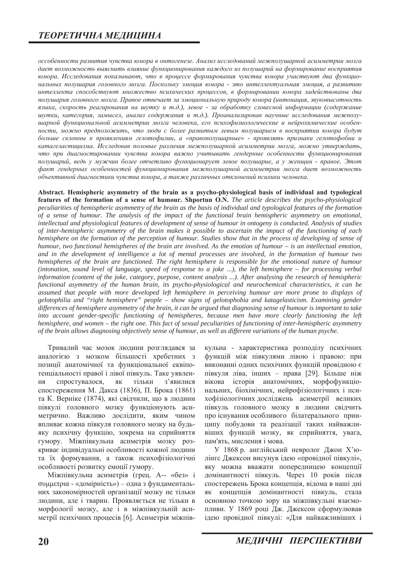оссобенности развития чувства юмора в онтогенезе. Анализ исследований межполушарной асимметрии мозга дает возможность выяснить влияние функционирования каждого из полушарий на формирование восприятия юмора. Исследования показывают, что в процессе формирования чувства юмора участвуют два функцио*нальных полушария головного мозга. Поскольку эмоция юмора - это интеллектуальная эмоция, а развитию* интеллекта способствуют множество психических процессов, в формировании юмора задействованы два полушария головного мозга. Правое отвечает за эмоциональную природу юмора (интонация, звуковысотность языка, скорость реагирования на шутку и т.д.), левое - за обработку словесной информации (содержание шутки, категория, замысел, анализ содержания и т.д.). Проанализировав научные исследования межполуиарной функциональной асимметрии мозга человека, его психофизиологические и нейрохимические особен $h$ юсти, можно предположить, что люди с более развитым левым полушарием в восприятии юмора будут  $6$ ольше склонны к проявлениям гелотофилии, а «правополушарные» - проявлять признаки гелотофобии и катагеластицизма. Исследовав половые различия межполушарной асимметрии мозга, можно утверждать, что при диагностировании чувства юмора важно учитывать гендерные особенности функционирования лолушарий, ведь у мужчин более отчетливо функционирует левое полушарие, а у женщин - правое. Этот  $\phi$ акт гендерных особенностей функционирования межполушарной асимметрии мозга дает возможность  $\delta$ бъективной диагностики чувства юмора, а также различных отклонений психики человека.

Abstract. Hemispheric asymmetry of the brain as a psycho-physiological basis of individual and typological **features of the formation of a sense of humour. Shportun O.N.** The article describes the psycho-physiological *peculiarities of hemispheric asymmetry of the brain as the basis of individual and typological features of the formation of a sense of humour. The analysis of the impact of the functional brain hemispheric asymmetry on emotional, intellectual and physiological features of development of sense of humour in ontogeny is conducted. Analysis of studies of inter-hemispheric asymmetry of the brain makes it possible to ascertain the impact of the functioning of each hemisphere on the formation of the perception of humour. Studies show that in the process of developing of sense of humour, two functional hemispheres of the brain are involved. As the emotion of humour – is an intellectual emotion, and in the development of intelligence a lot of mental processes are involved, in the formation of humour two hemispheres of the brain are functioned. The right hemisphere is responsible for the emotional nature of humour (intonation, sound level of language, speed of response to a joke ...), the left hemisphere – for processing verbal information (content of the joke, category, purpose, content analysis ...). After analysing the research of hemispheric functional asymmetry of the human brain, its psycho-physiological and neurochemical characteristics, it can be assumed that people with more developed left hemisphere in perceiving humour are more prone to displays of gelotophilia and "right hemisphere" people – show signs of gelotophobia and katagelasticism. Examining gender differences of hemisphere asymmetry of the brain, it can be argued that diagnosing sense of humour is important to take into account gender-specific functioning of hemispheres, because men have more clearly functioning the left hemisphere, and women – the right one. This fact of sexual peculiarities of functioning of inter-hemispheric asymmetry of the brain allows diagnosing objectively sense of humour, as well as different variations of the human psyche.* 

Тривалий час мозок людини розглядався за аналогією з мозком більшості хребетних з позиції анатомічної та функціональної еквіпотенціальності правої і лівої півкуль. Таке уявлення спростувалося, як тільки з'явилися спостереження М. Дакса (1836), П. Брока (1861) та К. Верніке (1874), які свідчили, що в людини півкулі головного мозку функціонують асиметрично. Важливо дослідити, яким чином впливає кожна півкуля головного мозку на будьяку психічну функцію, зокрема на сприйняття гумору. Міжпівкульна асиметрія мозку розкриває індивідуальні особливості кожної людини та їх формування, а також психофізіологічні особливості розвитку емоції гумору.

Міжпівкульна асиметрія (грец. А-- «без» і  $\sigma$ ришетрі $\alpha$  - «домірність») – одна з фундаментальних закономірностей організації мозку не тільки людини, але і тварин. Проявляється не тільки в морфології мозку, але і в міжпівкульній асиметрії психічних процесів [6]. Асиметрія міжпів-

кульна - характеристика розподілу психічних функцій між півкулями лівою і правою: при виконанні одних психічних функцій провідною є півкуля ліва, інших - права [29]. Більше ніж вікова історія анатомічних, морфофункціональних, біохімічних, нейрофізіологічних і психофізіологічних досліджень асиметрії великих півкуль головного мозку в людини свідчить про існування особливого білатерального принципу побудови та реалізації таких найважливіших функцій мозку, як сприйняття, увага, пам'ять, мислення і мова.

У 1868 р. англійський невролог Джон Х'юлінгс Джексон висунув ідею «провідної півкулі», яку можна вважати попередницею концепції домінантності півкуль. Через 10 років після спостережень Брока концепція, відома в наші дні як концепція домінантності півкуль, стала основною точкою зору на міжпівкульні взаємопливи. У 1869 році Дж. Джексон сформулював ідею провідної півкулі: «Для найважливіших і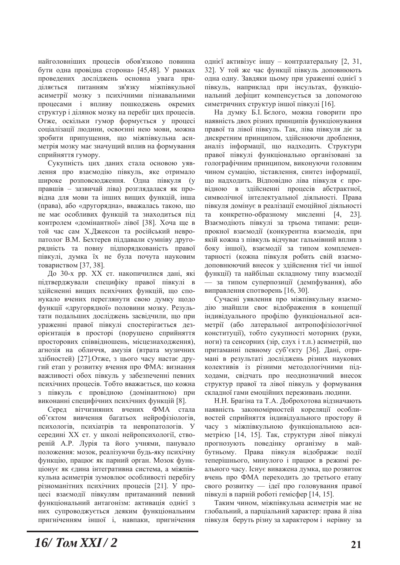найголовніших процесів обов'язково повинна бути одна провідна сторона» [45,48]. У рамках проведених досліджень основна увага приділяється питанням зв'язку міжпівкульної асиметрії мозку з психічними пізнавальними процесами і впливу пошкоджень окремих структур і ділянок мозку на перебіг цих процесів. Отже, оскільки гумор формується у процесі соціалізації людини, освоєнні нею мови, можна зробити припущення, що міжпівкульна асиметрія мозку має значущий вплив на формування сприйняття гумору.

Сукупність цих даних стала основою уявлення про взаємодію півкуль, яке отримало широке розповсюдження. Одна півкуля (у правшів - зазвичай ліва) розглядалася як провідна для мови та інших вищих функцій, інша (права), або «другорядна», вважалась такою, що не має особливих функцій та знаходиться під контролем «домінантної» лівої [38]. Хоча ще в той час сам Х.Джексон та російський невропатолог В.М. Бехтерев піддавали сумніву другорядність та повну підпорядкованість правої півкулі, думка їх не була почута науковим товариством [37, 38].

До 30-х рр. XX ст. накопичилися дані, які підтверджували специфіку правої півкулі в здійсненні вищих психічних функцій, що спонукало вчених переглянути свою лумку шоло функції «другорядної» половини мозку. Результати подальших досліджень засвідчили, що при ураженні правої півкулі спостерігається дезорієнтація в просторі (порушено сприйняття просторових співвідношень, місцезнаходження), агнозія на обличчя, амузія (втрата музичних здібностей) [27].Отже, з цього часу настає другий етап у розвитку вчення про ФМА: визнання важливості обох півкуль у забезпеченні певних психічних процесів. Тобто вважається, що кожна з півкуль є провідною (домінантною) при виконанні специфічних психічних функцій [8].

Серед вітчизняних вчених ФМА стала об'єктом вивчення багатьох нейрофізіологів, психологів, психіатрів та невропатологів. У середині XX ст. у школі нейропсихології, створеній А.Р. Лурія та його учнями, панувало положення: мозок, реалізуючи будь-яку психічну функцію, працює як парний орган. Мозок функціонує як єдина інтегративна система, а міжпівкульна асиметрія зумовлює особливості перебігу різноманітних психічних процесів [21]. У процесі взаємодії півкулям притаманний певний функціональний антагонізм: активація однієї з них супроводжується деяким функціональним пригніченням іншої і, навпаки, пригнічення

однієї активізує іншу - контрлатеральну [2, 31, 32]. У той же час функції півкуль доповнюють одна одну. Завдяки цьому при ураженні однієї з півкуль, наприклад при інсультах, функціональний дефіцит компенсується за допомогою симетричних структур іншої півкулі [16].

На думку Б.І. Бєлого, можна говорити про наявність двох різних принципів функціонування правої та лівої півкуль. Так, ліва півкуля діє за дискретним принципом, здійснюючи дроблення, аналіз інформації, що надходить. Структури правої півкулі функціонально організовані за голографічним принципом, виконуючи головним чином сумацію, зіставлення, синтез інформації, що надходить. Відповідно ліва півкуля є провідною в здійсненні процесів абстрактної, символічної інтелектуальної діяльності. Права півкуля домінує в реалізації емоційної діяльності та конкретно-образному мисленні [4, 23]. Взаємодіють півкулі за трьома типами: реципрокної взаємодії (конкурентна взаємодія, при якій кожна з півкуль відчуває гальмівний вплив з боку іншої), взаємодії за типом комплементарності (кожна півкуля робить свій взаємодоповнюючий внесок у здійснення тієї чи іншої функції) та найбільш складному типу взаємодії — за типом суперпозиції (демпфування), або виправлення спотворень [16, 30].

Сучасні уявлення про міжпівкульну взаємодію знайшли своє відображення в концепції індивідуального профілю функціональної асиметрії (або латеральної антропофізіологічної конституції), тобто сукупності моторних (руки, ноги) та сенсорних (зір, слух і т.п.) асиметрій, що притаманні певному суб'єкту [36]. Дані, отримані в результаті досліджень різних наукових колективів із різними методологічними підходами, свідчать про неоднозначний внесок структур правої та лівої півкуль у формування складної гами емоційних переживань людини.

Н.Н. Брагіна та Т.А. Доброхотова відзначають наявність закономірностей кореляції особливостей сприйняття індивідуального простору й часу з міжпівкульною функціональною асиметрією [14, 15]. Так, структури лівої півкулі прогнозують поведінку організму в майбутньому. Права півкуля відображає події теперішнього, минулого і працює в режимі реального часу. Існує виважена думка, що розвиток вчень про ФМА переходить до третього етапу свого розвитку — ідеї про головування правої півкулі в парній роботі гемісфер [14, 15].

Таким чином, міжпівкульна асиметрія має не глобальний, а парціальний характер: права й ліва півкуля беруть різну за характером і нерівну за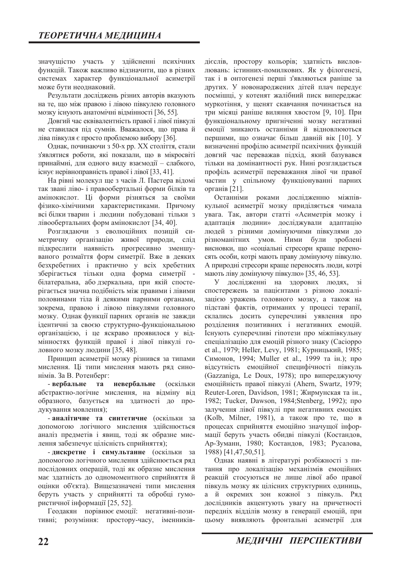значущістю участь у здійсненні психічних функцій. Також важливо відзначити, що в різних системах характер функціональної асиметрії може бути неоднаковий.

Результати досліджень різних авторів вказують на те, що між правою і лівою півкулею головного мозку існують анатомічні відмінності [36, 55].

Довгий час еквівалентність правої і лівої півкулі не ставилася під сумнів. Вважалося, що права й ліва півкуля є просто проблемою вибору [36].

Однак, починаючи з 50-х рр. XX століття, стали з'являтися роботи, які показали, що в мікросвіті принаймні, для одного виду взаємодії - слабкого, існує нерівноправність правої і лівої [33, 41].

На рівні молекул ще з часів Л. Пастера відомі так звані ліво- і правообертальні форми білків та амінокислот. Ці форми різняться за своїми фізико-хімічними характеристиками. Причому всі білки тварин і людини побудовані тільки з лівообертальних форм амінокислот [34, 40].

Розглядаючи з еволюційних позицій симетричну організацію живої природи, слід підкреслити наявність прогресивно зменшуваного розмаїття форм симетрії. Вже в деяких безхребетних і практично у всіх хребетних зберігається тільки одна форма симетрії білатеральна, або дзеркальна, при якій спостерігається значна подібність між правими і лівими половинами тіла й деякими парними органами. зокрема, правою і лівою півкулями головного мозку. Однак функції парних органів не завжди ідентичні за своєю структурно-функціональною організацією, і це яскраво проявилося у відмінностях функцій правої і лівої півкулі головного мозку людини [35, 48].

Принцип асиметрії мозку різнився за типами мислення. Ці типи мислення мають ряд синонімів. За В. Ротенберг:

**• вербальне та невербальне** (оскільки абстрактно-логічне мислення, на відміну від образного, базується на здатності до продукування мовлення);

**• аналітичне та синтетичне** (оскільки за допомогою логічного мислення здійснюється аналіз предметів і явищ, тоді як образне мислення забезпечує цілісність сприйняття);

- дискретне *i* симультанне (оскільки за допомогою логічного мислення здійснюється ряд послідовних операцій, тоді як образне мислення має здатність до одномоментного сприйняття й оцінки об'єкта). Вищезазначені типи мислення беруть участь у сприйнятті та обробці гумористичної інформації [25, 52].

Геодакян порівнює емоції: негативні-позитивні; розуміння: простору-часу, іменників-

дієслів, простору кольорів; здатність висловлювань: істинних-помилкових. Як у філогенезі, так і в онтогенезі перші з'являються раніше за других. У новонароджених дітей плач передує посмішці, у котенят жалібний писк випереджає муркотіння, у щенят скавчання починається на три місяці раніше виляння хвостом [9, 10]. При функціональному пригніченні мозку негативні емоції зникають останніми й відновлюються першими, що означає більш давній вік [10]. У визначенні профілю асиметрії психічних функцій довгий час переважав підхід, який базувався тільки на домінантності рук. Нині розглядається профіль асиметрії переважання лівої чи правої частин у спільному функціонуванні парних органів [21].

Останніми роками дослідженню міжпівкульної асиметрії мозку приділяється чимала увага. Так, автори статті «Асиметрія мозку і адаптація людини» досліджували адаптацію людей з різними домінуючими півкулями до різноманітних умов. Ними були зроблені висновки, що «соціальні стресори краще переносять особи, котрі мають праву домінуючу півкулю. А природні стресори краще переносять люди, котрі мають ліву домінуючу півкулю» [35, 46, 53].

У дослідженні на здорових людях, зі спостережень за пацієнтами з різною локалізацією уражень головного мозку, а також на підставі фактів, отриманих у процесі терапії, склались досить суперечливі уявлення про розділення позитивних і негативних емоцій. Існують суперечливі гіпотези про міжпівкульну спеціалізацію для емоцій різного знаку (Сасіорро et al., 1979; Heller, Levy, 1981; Курницький, 1985; Симонов, 1994; Muller et al., 1999 та ін.); про вілсутність емоційної специфічності півкуль (Gazzaniga, Le Doux, 1978); про випереджуючу emouiйність правої півкулі (Ahern, Swartz, 1979; Reuter-Loren, Davidson, 1981; Жирмунская та ін., 1982; Tucker, Dawson, 1984; Stenberg, 1992);  $\mu$ залучення лівої півкулі при негативних емоціях  $(Kolb,$  Milner, 1981), а також про те, що в процесах сприйняття емоційно значущої інформації беруть участь обидві півкулі (Костандов, Ар-Зуманн, 1980; Костандов, 1983; Русалова, 1988) [41,47,50,51].

Однак наявні в літературі розбіжності з питання про локалізацію механізмів емоційних реакцій стосуються не лише лівої або правої півкуль мозку як цілісних структурних одиниць, а й окремих зон кожної з півкуль. Ряд дослідників акцентують увагу на причетності передніх відділів мозку в генерації емоцій, при цьому виявляють фронтальні асиметрії для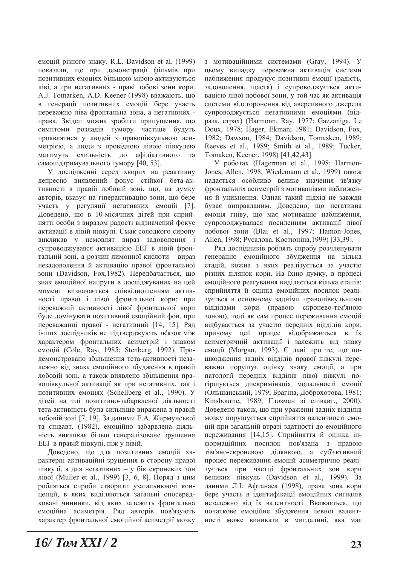емоцій різного знаку. R.L. Davidson et al. (1999) показали, що при демонстрації фільмів при позитивних емоціях більшою мірою активуються ліві, а при негативних - праві лобові зони кори. A.J. Tomarken, A.D. Keener (1998) вважають, що в генерації позитивних емоцій бере участь переважно ліва фронтальна зона, а негативних права. Звідси можна зробити припущення, що симптоми розладів гумору частіше будуть проявлятися у людей з правопівкульною асиметрією, а люди з провідною лівою півкулею матимуть схильність до афіліативного та самопідтримувального гумору [40, 53].

У дослідженні серед хворих на реактивну депресію виявлений фокус стійкої бета-активності в правій лобовій зоні, що, на думку авторів, вказує на гіперактивацію зони, що бере участь у регуляції негативних емоцій [7]. Доведено, що в 10-місячних дітей при сприйнятті особи з виразом радості відзначений фокус активації в лівій півкулі. Смак солодкого сиропу викликав у немовлят вираз задоволення і супроводжувався активацією ЕЕГ в лівій фронтальній зоні, а розчин лимонної кислоти - вираз незадоволення й активацію правої фронтальної зони (Davidson, Fox, 1982). Передбачається, що знак емоційної напруги в досліджуваних на цей момент визначається співвідношенням активності правої і лівої фронтальної кори: при переважній активності лівої фронтальної кори буде домінувати позитивний емоційний фон, при переважанні правої - негативний [14, 15]. Ряд інших дослідників не підтверджують зв'язок між характером фронтальних асиметрій і знаком emouil (Cole, Ray, 1985; Stenberg, 1992).  $\Pi$ poдемонстровано збільшення тета-активності незалежно віл знака емоційного збулження в правій лобовій зоні, а також виявлено збільшення правопівкульної активації як при негативних, так і позитивних емоціях (Schellberg et al., 1990). У дітей на тлі позитивно-забарвленої діяльності тета-активність була сильніше виражена в правій лобовій зоні [7, 19]. За даними Е.А. Жирмунської та співавт. (1982), емоційно забарвлена діяльність викликає більш генералізоване зрушення ЕЕГ в правій півкулі, ніж у лівій.

Доведено, що для позитивних емоцій характерні активаційні зрушення в сторону правої півкулі, а для негативних - у бік скроневих зон лівої (Muller et al., 1999) [3, 6, 8]. Поряд з цим робляться спроби створити узагальнюючі концепції, в яких виділяються загальні опосередковані чинники, від яких залежить фронтальна емоційна асиметрія. Ряд авторів пов'язують характер фронтальної емоційної асиметрії мозку

з мотиваційними системами (Gray, 1994). У цьому випадку переважна активація системи наближення продукує позитивні емоції (радість, задоволення, щастя) і супроводжується активацією лівої лобової зони, у той час як активація системи відсторонення від аверсивного джерела супроводжується негативними емоціями (відpasa, crpax) (Harmonn, Ray, 1977; Gazzaniga, Le Doux, 1978; Hager, Ekman; 1981; Davidson, Fox, 1982; Dawson, 1984; Davidson, Tomasken, 1989; Reeves et al., 1989; Smith et al., 1989; Tucker, Tomaken, Keener, 1998) [41,42,43].

У роботах (Hagerman et al., 1998; Harmon-Jones, Allen, 1998; Wiedemann et al., 1999) також надається особливо велике значення зв'язку фронтальних асиметрій з мотиваціями наближенняй уникнення. Однак такий підхід не завжди буває виправданим. Доведено, що негативна емоція гніву, що має мотивацію наближення, супроводжувалася посиленням активації лівої лобової зони (Blai et al., 1997; Hamon-Jones, Allen, 1998; Русалова, Костюніна, 1999) [33,39].

Ряд дослідників роблять спробу розчленувати генерацію емоційного збудження на кілька стадій, кожна з яких реалізується за участю різних ділянок кори. На їхню думку, в процесі емоційного реагування виділяється кілька етапів: сприйняття й оцінка емоційних посилок реалізується в основному залніми правопівкульними відділами кори (правою скронево-тім'яною зоною), тоді як сам процес переживання емоцій відбувається за участю передніх відділів кори, причому цей процес відображається в їх асиметричній активації і залежить від знаку емоції (Morgan, 1993). Є дані про те, що пошкодження задніх відділів правої півкулі переважно порушує оцінку знаку емоції, а при патології передніх відділів лівої півкулі погіршується дискримінація модальності емоції (Ольшанський, 1979; Брагіна, Доброхотова, 1981; Kinsbourne, 1989; Глозман зі співавт., 2000). Доведено також, що при ураженні задніх відділів мозку порушується сприйняття валентності емоцій при загальній втраті здатності до емоційного переживання [14,15]. Сприйняття й оцінка інформаційних посилок пов'язана з правою тім'яно-скроневою ділянкою, а суб'єктивний процес переживання емоцій асиметрично реалізується при частці фронтальних зон кори великих півкуль (Davidson et al., 1999). За даними Л.І. Афтанаса (1998), права зона кори бере участь в ідентифікації емоційних сигналів незалежно від їх валентності. Вважається, що початкове емоційне збудження певної валентності може виникати в мигдалині, яка має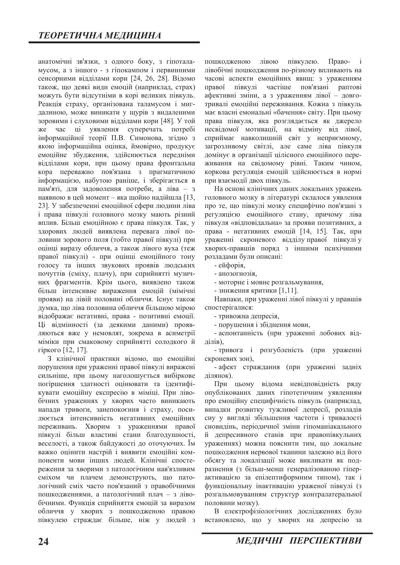анатомічні зв'язки, з одного боку, з гіпоталамусом, а з іншого - з гіпокампом і первинними сенсорними відділами кори [24, 26, 28]. Відомо також, що деякі види емоцій (наприклад, страх) можуть бути відсутніми в корі великих півкуль. Реакція страху, організована таламусом і мигдалиною, може виникати у щурів з видаленими зоровими і слуховими відділами кори [48]. У той же час ці уявлення суперечать потребі інформаційної теорії П.В. Симонова, згідно з якою інформаційна оцінка, ймовірно, продукує емоційне збудження, здійснюється передніми відділами кори, при цьому права фронтальна кора переважно пов'язана з прагматичною iнформацiєю, набутою раніше, і зберiгається в пам'яті, для задоволення потреби, а ліва – з наявною в цей момент - яка щойно надійшла  $[13, 13]$ 23]. У забезпеченні емоційної сфери людини ліва і права півкулі головного мозку мають різний вплив. Більш емоційною є права півкуля. Так, у здорових людей виявлена перевага лівої половини зорового поля (тобто правої півкулі) при оцінці виразу обличчя, а також лівого вуха (теж правої півкулі) - при оцінці емоційного тону голосу та інших звукових проявів людських почуттів (сміху, плачу), при сприйнятті музичних фрагментів. Крім цього, виявлено також більш інтенсивне вираження емоцій (мімічні прояви) на лівій половині обличчя. Існує також думка, що ліва половина обличчя більшою мірою відображає негативні, права - позитивні емоції. Ці відмінності (за деякими даними) проявляються вже у немовлят, зокрема в асиметрії міміки при смаковому сприйнятті солодкого й гіркого [12, 17].

З клінічної практики відомо, що емоційні порушення при ураженні правої півкулі виражені сильніше, при цьому наголошується вибіркове погіршення здатності оцінювати та ідентифікувати емоційну експресію в міміці. При лівобічних ураженнях у хворих часто виникають напади тривоги, занепокоєння і страху, посилюється інтенсивність негативних емоційних переживань. Хворим з ураженнями правої півкулі більш властиві стани благодушності, веселості, а також байдужості до оточуючих. Їм важко оцінити настрій і виявити емоційні компоненти мови інших людей. Клінічні спостереження за хворими з патологічним нав'язливим сміхом чи плачем демонструють, що патологічний сміх часто пов'язаний з правобічними пошкодженнями, а патологічний плач - з лівобічними. Функція сприйняття емоцій за виразом обличчя у хворих з пошкодженою правою півкулею страждає більше, ніж у людей з

пошкодженою лівою півкулею. Праволівобічні пошкодження по-різному впливають на часові аспекти емоційних явищ: з ураженням правої півкулі частіше пов'язані paптові афективні зміни, а з ураженням лівої - довготривалі емоційні переживання. Кожна з півкуль має власні емональні «бачення» світу. При цьому права півкуля, яка розглядається як джерело несвідомої мотивації, на відміну від лівої, сприймає навколишній світ у неприємному, загрозливому світлі, але саме ліва півкуля домінує в організації цілісного емоційного переживання на свідомому рівні. Таким чином, коркова регуляція емоцій здійснюється в нормі при взаємодії двох півкуль.

На основі клінічних даних локальних уражень головного мозку в літературі склалося уявлення про те, що півкулі мозку специфічно пов'язані з регуляцією емоційного стану, причому ліва півкуля «відповідальна» за прояви позитивних, а права - негативних емоцій [14, 15]. Так, при ураженні скроневого відділу правої півкулі у хворих-правшів поряд з іншими психічними розладами були описані:

- ейфорія,

- анозогнозія,

• моторне і мовне розгальмування,

• зниження критики [1,11].

Навпаки, при ураженні лівої півкулі у правшів спостерігалися:

- тривожна депресія,

- порушення і збіднення мови,

- аспонтанність (при ураженні лобових відділів),

- тривога і розгубленість (при ураженні скроневих зон).

- афект страждання (при ураженні задніх ділянок).

При цьому відома невідповідність ряду опублікованих даних гіпотетичним уявленням про емоційну специфічність півкуль (наприклад, випадки розвитку тужливої депресії, розладів сну у виглялі збільшення частоти і тривалості сновидінь, періодичної зміни гіпоманіакального й депресивного станів при правопівкульних ураженнях) можна пояснити тим, що локальне пошкодження нервової тканини залежно від його обсягу та локалізації може викликати як подразнення (з більш-менш генералізованою гіперактивацією за епілептиформним типом), так і функціональну інактивацію ураженої півкулі (з розгальмовуванням структур контралатеральної половини мозку).

В електрофізіологічних дослідженнях було встановлено, що у хворих на депресію за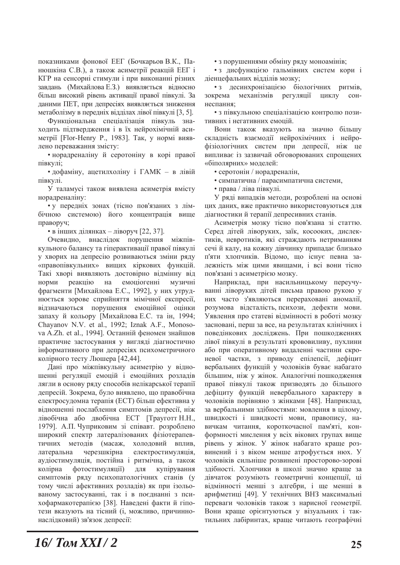показниками фонової ЕЕГ (Бочкарьов В.К., Панюшкіна С.В.), а також асиметрії реакцій ЕЕГ і КГР на сенсорні стимули і при виконанні різних завдань (Михайлова Е.З.) виявляється відносно більш високий рівень активації правої півкулі. За даними ПЕТ, при депресіях виявляється зниження метаболізму в передніх відділах лівої півкулі [3, 5].

Функціональна спеціалізація півкуль знаходить підтвердження і в їх нейрохімічній асиметрії [Flor-Henry P., 1983]. Так, у нормі виявлено переважання змісту:

• норадреналіну й серотоніну в корі правої півкулі:

• дофаміну, ацетилхоліну і ГАМК - в лівій півкулі.

У таламусі також виявлена асиметрія вмісту норадреналіну:

• у передніх зонах (тісно пов'язаних з лімбічною системою) його концентрація вище праворуч;

• в інших ділянках - ліворуч [22, 37].

Очевидно, внаслідок порушення міжпівкульного балансу та гіперактивації правої півкулі у хворих на депресію розвиваються зміни ряду «правопівкульних» вищих кіркових функцій. Такі хворі виявляють достовірно відмінну від норми реакцію на емоціогенні музичні фрагменти [Михайлова Е.С., 1992], у них утруднюється зорове сприйняття мімічної експресії. відзначаються порушення емоційної оцінки запаху й кольору [Михайлова Е.С. та ін, 1994; Chayanov N.V. et al., 1992; Iznak A.F., Monosova A.Zh. et al., 1994]. Останній феномен знайшов практичне застосування у вигляді діагностично інформативного при депресіях психометричного колірного тесту Люшера [42,44].

Дані про міжпівкульну асиметрію у відношенні регуляції емоцій і емоційних розладів лягли в основу ряду способів нелікарської терапії депресій. Зокрема, було виявлено, що правобічна електросудомна терапія (ЕСТ) більш ефективна у відношенні послаблення симптомів депресії, ніж лівобічна або двобічна ЕСТ [Трауготт Н.Н., 1979]. А.П. Чуприковим зі співавт. розроблено широкий спектр латералізованих фізіотерапевтичних методів (масаж, холодовий вплив, латеральна черезшкірна електростимуляція, аудіостимуляція, постійна і ритмічна, а також колірна фотостимуляції) для купірування симптомів ряду психопатологічних станів (у тому числі афективних розладів) як при ізольованому застосуванні, так і в поєднанні з психофармакотерапією [38]. Наведені факти й гіпотези вказують на тісний (і, можливо, причиннонаслідковий) зв'язок депресії:

• з порушеннями обміну ряду моноамінів;

• з дисфункцією гальмівних систем кори і діенцефальних відділів мозку;

• з десинхронізацією біологічних ритмів, зокрема механізмів регуляції циклу соннеспання:

• з півкульною спеціалізацією контролю позитивних і негативних емоцій.

Вони також вказують на значно більшу складність взаємодії нейрохімічних і нейрофізіологічних систем при депресії, ніж це випливає із зазвичай обговорюваних спрощених «біполярних» моделей:

• серотонін / норадреналін,

• симпатична / парасимпатична системи,

• права / ліва півкулі.

У ряді випадків методи, розроблені на основі цих даних, вже практично використовуються для діагностики й терапії депресивних станів.

Асиметрія мозку тісно пов'язана зі статтю. Серед дітей ліворуких, заїк, косооких, дислектиків, невротиків, які страждають нетриманням сечій калу, на кожну дівчинку припадає близько п'яти хлопчиків. Відомо, що існує певна залежність між цими явищами, і всі вони тісно пов'язані з асиметрією мозку.

Наприклад, при насильницькому переучуванні ліворуких дітей письма правою рукою у них часто з'являються перераховані аномалії, розумова відсталість, психози, дефекти мови. Уявлення про статеві відмінності в роботі мозку засновані, перш за все, на результатах клінічних і поведінкових досліджень. При пошкодженнях лівої півкулі в результаті крововиливу, пухлини або при оперативному видаленні частини скроневої частки, з приводу епілепсії, дефіцит вербальних функцій у чоловіків буває набагато більшим, ніж у жінок. Аналогічні пошкодження правої півкулі також призводять до більшого дефіциту функцій невербального характеру в чоловіків порівняно з жінками [48]. Наприклад, за вербальними здібностями: мовлення в цілому, швидкості і швидкості мови, правопису, навичкам читання, короткочасної пам'яті, конформності мислення у всіх вікових групах вище рівень у жінок. У жінок набагато краще розвинений і з віком менше атрофується нюх. У чоловіків сильніше розвинені просторово-зорові здібності. Хлопчики в школі значно краще за дівчаток розуміють геометричні концепції, ці відмінності менші з алгебри, і ще менші в арифметиці [49]. У технічних ВНЗ максимальні переваги чоловіків також з нарисної геометрії. Вони краще орієнтуються у візуальних і тактильних лабіринтах, краще читають географічні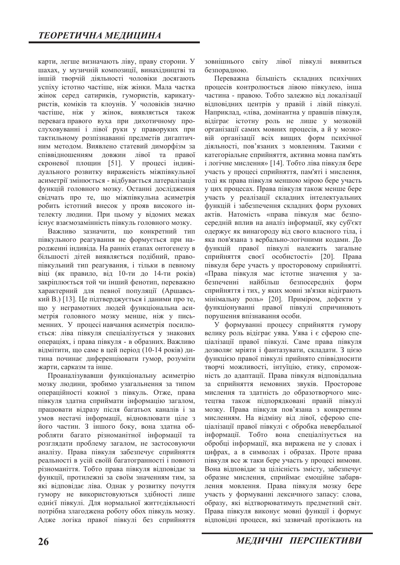карти, легше визначають ліву, праву сторони. У шахах, у музичній композиції, винахідництві та іншій творчій діяльності чоловіки досягають успіху істотно частіше, ніж жінки. Мала частка жінок серед сатириків, гумористів, карикатуристів, коміків та клоунів. У чоловіків значно частіше, ніж у жінок, виявляється також перевага правого вуха при дихотичному прослуховуванні і лівої руки у праворуких при тактильному розпізнаванні предметів дигаптичним методом. Виявлено статевий диморфізм за співвідношенням довжин лівої та правої скроневої площин [51]. У процесі індивідуального розвитку вираженість міжпівкульної асиметрії змінюється - відбувається латералізація функцій головного мозку. Останні дослідження свідчать про те, що міжпівкульна асиметрія робить істотний внесок у прояв високого інтелекту людини. При цьому у відомих межах існує взаємозамінність півкуль головного мозку.

Важливо зазначити, що конкретний тип півкульного реагування не формується при народженні індивіда. На ранніх етапах онтогенезу в більшості дітей виявляється подібний, правопівкульний тип реагування, і тільки в певному віці (як правило, від 10-ти до 14-ти років) закріплюється той чи інший фенотип, переважно характерний для певної популяції (Аршавський В.) [13]. Це пілтверджується і даними про те. що у неграмотних людей функціональна асиметрія головного мозку менше, ніж у письменних. У процесі навчання асиметрія посилюється: ліва півкуля спеціалізується у знакових операціях, і права півкуля - в образних. Важливо відмітити, що саме в цей період (10-14 років) дитина починає диференціювати гумор, розуміти жарти, сарказм та інше.

Проаналізувавши функціональну асиметрію мозку людини, зробимо узагальнення за типом операційності кожної з півкуль. Отже, права півкуля здатна сприймати інформацію загалом, працювати відразу після багатьох каналів і за умов нестачі інформації, відновлювати ціле з його частин. З іншого боку, вона здатна обробляти багато різноманітної інформації та розглядати проблему загалом, не застосовуючи аналізу. Права півкуля забезпечує сприйняття реальності в усій своїй багатогранності і повноті різноманіття. Тобто права півкуля відповідає за функції, протилежні за своїм значенням тим, за які відповідає ліва. Однак у розвитку почуття гумору не використовуються здібності лише однієї півкулі. Для нормальної життєдіяльності потрібна злагоджена роботу обох півкуль мозку. Адже логіка правої півкулі без сприйняття

зовнішнього світу лівої півкулі виявиться безпорадною.

Переважна більшість складних психічних процесів контролюється лівою півкулею, інша частина - правою. Тобто залежно від локалізації відповідних центрів у правій і лівій півкулі. Наприклад, «ліва, домінантна у правшів півкуля, відіграє істотну роль не лише у мозковій організації самих мовних процесів, а й у мозковій організації всіх вищих форм психічної діяльності, пов'язаних з мовленням. Такими є категоріальне сприйняття, активна мовна пам'ять і логічне мислення» [14]. Тобто ліва півкуля бере участь у процесі сприйняття, пам'яті і мислення, тоді як права півкуля меншою мірою бере участь у цих процесах. Права півкуля також менше бере участь у реалізації складних інтелектуальних функцій і забезпечення складних форм рухових актів. Натомість «права півкуля має безпосередній вплив на аналіз інформації, яку суб'єкт одержує як винагороду від свого власного тіла, і яка пов'язана з вербально-логічними кодами. До функцій правої півкулі належить загальне сприйняття своєї особистості» [20]. Права півкуля бере участь у просторовому сприйнятті. «Права півкуля має істотне значення у забезпеченні найбільш безпосередніх форм сприйняття і тих, у яких мовні зв'язки відіграють мінімальну роль» [20]. Приміром, дефекти у функціонуванні правої півкулі спричиняють порушення впізнавання особи.

У формуванні процесу сприйняття гумору велику роль відіграє уява. Уява і є сферою спеціалізації правої півкулі. Саме права півкуля дозволяє мріяти і фантазувати, складати. З цією функцією правої півкулі прийнято співвідносити творчі можливості, інтуїцію, етику, спроможність до адаптації. Права півкуля відповідальна за сприйняття немовних звуків. Просторове мислення та здатність до образотворчого мистецтва також підпорядковані правій півкулі мозку. Права півкуля пов'язана з конкретним мисленням. На відміну від лівої, сферою спеціалізації правої півкулі є обробка невербальної інформації. Тобто вона спеціалізується на обробці інформації, яка виражена не у словах і цифрах, а в символах і образах. Проте права півкуля все ж таки бере участь у процесі вимови. Вона відповідає за цілісність змісту, забезпечує образне мислення, сприймає емоційне забарвлення мовлення. Права півкуля мозку бере участь у формуванні лексичного запасу: слова, образу, які відтворюватимуть предметний світ. Права півкуля виконує мовні функції і формує відповідні процеси, які зазвичай протікають на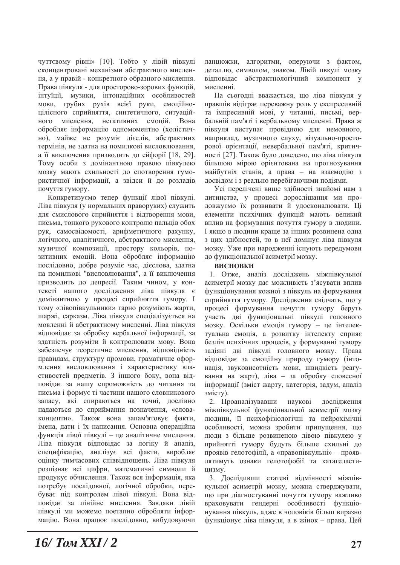чуттєвому рівні» [10]. Тобто у лівій півкулі сконцентровані механізми абстрактного мислення, а у правій - конкретного образного мислення. Права півкуля - для просторово-зорових функцій, інтуїції, музики, інтонаційних особливостей мови, грубих рухів всієї руки, емоційноцілісного сприйняття, синтетичного, ситуаційного мислення, негативних емоцій. Вона обробляє інформацію одномоментно (холістично), майже не розуміє дієслів, абстрактних термінів, не здатна на помилкові висловлювання, а її виключення призводить до ейфорії [18, 29]. Тому особи з домінантною правою півкулею мозку мають схильності до спотворення гумористичної інформації, а звідси й до розладів ПОЧУТТЯ ГУМОРУ.

Конкретизуємо тепер функції лівої півкулі. Ліва півкуля (у нормальних праворуких) служить для смислового сприйняття і відтворення мови, письма, тонкого рухового контролю пальців обох рук, самосвідомості, арифметичного рахунку, логічного, аналітичного, абстрактного мислення, музичної композиції, простору кольорів, позитивних емоцій. Вона обробляє інформацію послідовно, добре розуміє час, дієслова, здатна на помилкові "висловлювання", а її виключення призводить до депресії. Таким чином, у контексті нашого дослідження ліва півкуля є ломінантною у процесі сприйняття гумору. І тому «лівопівкульники» гарно розуміють жарти, шаржі, сарказм. Ліва півкуля спеціалізується на мовленні й абстрактному мисленні. Ліва півкуля відповідає за обробку вербальної інформації, за здатність розуміти й контролювати мову. Вона забезпечує теоретичне мислення, відповідність правилам, структуру промови, граматичне оформлення висловлювання і характеристику властивостей предметів. З іншого боку, вона відповідає за нашу спроможність до читання та письма і формує ті частини нашого словникового запасу, які спираються на точні, дослівно надаються до сприймання позначення, «словаконцепти». Також вона запам'ятовує факти, імена, дати і їх написання. Основна операційна функція лівої півкулі - це аналітичне мислення. Ліва півкуля відповідає за логіку й аналіз, специфікацію, аналізує всі факти, виробляє оцінку тимчасових співвідношень. Ліва півкуля розпізнає всі цифри, математичні символи й продукує обчислення. Також вся інформація, яка потребує послідовної, логічної обробки, перебуває під контролем лівої півкулі. Вона відповідає за лінійне мислення. Завдяки лівій півкулі ми можемо поетапно обробляти інформацію. Вона працює послідовно, вибудовуючи

ланцюжки, алгоритми, оперуючи з фактом, деталлю, символом, знаком. Лівій пвкулі мозку відповідає абстрактнологічний компонент у мисленні.

На сьогодні вважається, що ліва півкуля у правшів відіграє переважну роль у експресивній та імпресивній мові, у читанні, письмі, вербальній пам'яті і вербальному мисленні. Права ж півкуля виступає провідною для немовного, наприклад, музичного слуху, візуально-просторової орієнтації, невербальної пам'яті, критичності [27]. Також було доведено, що ліва півкуля більшою мірою орієнтована на прогнозування майбутніх станів, а права - на взаємодію з досвідом і з реально перебігаючими подіями.

Усі перелічені вище здібності знайомі нам з дитинства, у процесі дорослішання ми продовжуємо їх розвивати й удосконалювати. Ці елементи психічних функцій мають великий вплив на формування почуття гумору в людини. I якщо в людини краще за інших розвинена одна з цих здібностей, то в неї домінує ліва півкуля мозку. Уже при народженні існують передумови до функціональної асиметрії мозку.

### **ВИСНОВКИ**

1. Отже, аналіз досліджень міжпівкульної асиметрії мозку дає можливість з'ясувати вплив функціонування кожної з півкуль на формування сприйняття гумору. Дослідження свідчать, що у процесі формування почуття гумору беруть участь дві функціональні півкулі головного мозку. Оскільки емоція гумору - це інтелектуальна емоція, а розвитку інтелекту сприяє безліч психічних процесів, у формуванні гумору задіяні дві півкулі головного мозку. Права відповідає за емоційну природу гумору (інтонація, звуковисотність мови, швидкість реагування на жарт), ліва - за обробку словесної інформації (зміст жарту, категорія, задум, аналіз змісту).

2. Проаналізувавши наукові дослідження міжпівкульної функціональної асиметрії мозку людини, її психофізіологічні та нейрохімічні особливості, можна зробити припущення, що люди з більше розвиненою лівою півкулею у прийнятті гумору будуть більше схильні до проявів гелотофілії, а «правопівкульні» - проявлятимуть ознаки гелотофобії та катагеластицизму.

3. Дослідивши статеві відмінності міжпівкульної асиметрії мозку, можна стверджувати, що при діагностуванні почуття гумору важливо враховувати гендерні особливості функціонування півкуль, адже в чоловіків більш виразно функціонує ліва півкуля, а в жінок - права. Цей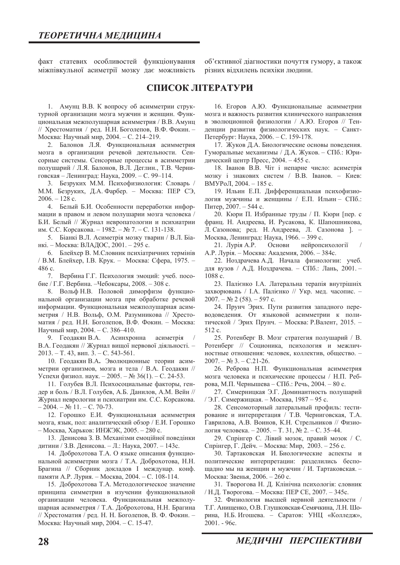факт статевих особливостей функціонування міжпівкульної асиметрії мозку дає можливість

об'єктивної діагностики почуття гумору, а також різних відхилень психіки людини.

# **CHUCOR JITEPATYPH**

1. Амунц В.В. К вопросу об асимметрии структурной организации мозга мужчин и женщин. Функциональная межполушарная асимметрия / В.В. Амунц // Хрестоматия / ред. Н.Н. Боголепов, В.Ф. Фокин. -Москва: Научный мир, 2004. – С. 214-219.

2. Балонов Л.Я. Функциональная асимметрия мозга в организации речевой деятельности. Сенсорные системы. Сенсорные процессы в асимметрии полушарий / Л.Я. Балонов, В.Л. Деглин., Т.В. Черниговская - Ленинград: Наука, 2009. - С. 99-114.

3. Безруких М.М. Психофизиология: Словарь / М.М. Безруких, Д.А. Фарбер. - Москва: ПЕР СЭ,  $2006. - 128$  c.

4. Белый Б.И. Особенности переработки информации в правом и левом полушарии мозга человека / Б.И. Белый // Журнал невропатологии и психиатрии им. С.С. Корсакова. - 1982. - № 7. - С. 131-138.

5. Біанкі В.Л. Асиметрія мозку тварин / В.Л. Біанкі. - Москва: ВЛАДОС, 2001. - 295 с.

6. Блейхер В. М.Словник психіатричних термінів / В.М. Блейхер, І.В. Крук. - Москва: Сфера, 1975. -486 c.

7. Вербина Г.Г. Психология эмоций: учеб. посо- $6\text{He}$  / Г.Г. Вербина. -Чебоксары, 2008. - 308 с.

8. Вольф Н.В. Половой диморфизм функциональной организации мозга при обработке речевой информации. Функциональная межполушарная асимметрия / Н.В. Вольф, О.М. Разумникова // Хрестоматия / ред. Н.Н. Боголепов, В.Ф. Фокин. - Москва: Научный мир, 2004. - С. 386-410.

9. Геодакян В.А. Асинхронна асиметрія В.А. Геодакян // Журнал вищої нервової діяльності. - $2013. - T. 43$ , вип. 3. - С. 543-561.

10. Геодакян В.А. Эволюционные теории асимметрии организмов, мозга и тела / В.А. Геодакян // Успехи физиол. наук. – 2005. – № 36(1). – С. 24-53.

11. Голубев В.Л. Психосоциальные факторы, гендер и боль / В.Л. Голубев, А.Б. Данилов, А.М. Вейн // Журнал неврологии и психиатрии им. С.С. Корсакова.  $-2004. - N_2 11. - C. 70-73.$ 

12. Горошко Е.И. Функциональная асимметрия мозга, язык, пол: аналитический обзор / Е.И. Горошко  $-$  Москва, Харьков: ИНЖЭК, 2005. - 280 с.

13. Денисова З. В. Механізми емоційної поведінки дитини / З.В. Денисова. - Л.: Наука, 2007. - 143с.

14. Доброхотова Т.А. О языке описания функциональной асимметрии мозга / Т.А. Доброхотова, Н.Н. Брагина // Сборник докладов I междунар. конф. памяти А.Р. Лурия. – Москва, 2004. – С. 108-114.

15. Доброхотова Т.А. Методологическое значение принципа симметрии в изучении функциональной организации человека. Функциональная межполушарная асимметрия / Т.А. Доброхотова, Н.Н. Брагина // Хрестоматия / ред. Н. Н. Боголепов, В. Ф. Фокин. -Москва: Научный мир, 2004. – С. 15-47.

16. Егоров А.Ю. Функциональные асимметрии мозга и важность развития клинического направления в эволюционной физиологии / А.Ю. Егоров // Тенденции развития физиологических наук. - Санкт-Петербург: Наука, 2006. – С. 159-178.

17. Жуков Д.А. Биологические основы повеления. Гуморальные механизмы / Д.А. Жуков. - СПб.: Юридический центр Пресс, 2004. – 455 с.

18. Іванов В.В. Чіт і непарне число: асиметрія мозку і знакових систем / В.В. Іванов. - Киев: ВМУРоЛ, 2004. – 185 с.

19. Ильин Е.П. Дифференциальная психофизиология мужчины и женщины / Е.П. Ильин - СПб.: Питер, 2007. - 544 с.

20. Кюри П. Избранные труды / П. Кюри [пер. с франц. Н. Андреева, И. Русакова, К. Шапошникова, Л. Сазонова; ред. Н. Андреева, Л. Сазонова ]. -Москва, Ленинград: Наука, 1966. - 399 с.

21. Лурія А.Р. Основи нейропсихології А.Р. Лурія. - Москва: Академия, 2006. - 384с.

22. Ноздрачева А.Д. Начала физиологии: учеб. для вузов / А.Д. Ноздрачева. - СПб.: Лань, 2001.-1088 c.

23. Палієнко І.А. Латеральна терапія внутрішніх захворювань / І.А. Палієнко // Укр. мед. часопис. - $2007. - N<sub>2</sub> 2 (58) - 597$  c.

24. Прунч Эрих. Пути развития западного переводоведения. От языковой асимметрии к политической / Эрих Прунч. - Москва: Р.Валент, 2015. -512 c.

25. Ротенберг В. Мозг стратегия полушарий / В. Ротенберг // Соционика, психология и межличностные отношения: человек, коллектив, общество. - $2007. - N_2$  3.  $- C.21-26.$ 

26. Реброва Н.П. Функциональная асимметрия мозга человека и психические процессы / Н.П. Реброва, М.П. Чернышева - СПб.: Речь, 2004. - 80 с.

27. Симерницкая Э.Г. Доминантность полушарий / Э.Г. Симержицкая. - Москва, 1987 - 95 с.

28. Сенсомоторный латеральный профиль: тестирование и интерпретация / Т.В. Черниговская, Т.А. Гаврилова, А.В. Воинов, К.Н. Стрельников // Физиология человека. - 2005. - Т. 31, № 2. - С. 35-44.

29. Спрінгер С. Лівий мозок, правий мозок / С. Спрінгер, Г. Дейч. – Москва: Мир, 2003. – 256 с.

30. Тартаковская И. Биологические аспекты и политические интерпретации: разделились беспощадно мы на женщин и мужчин / И. Тартаковская. -Москва: Звенья, 2006. - 260 с.

31. Творогова Н. Д. Клінічна психологія: словник / Н.Д. Творогова. – Москва: ПЕР СЕ, 2007. – 345с.

32. Физиология высшей нервной деятельности / Т.Г. Анищенко, О.В. Глушковская-Семячкина, Л.Н. Шорина, Н.Б. Игошева. - Саратов: УНЦ «Колледж», 2001. - 96c.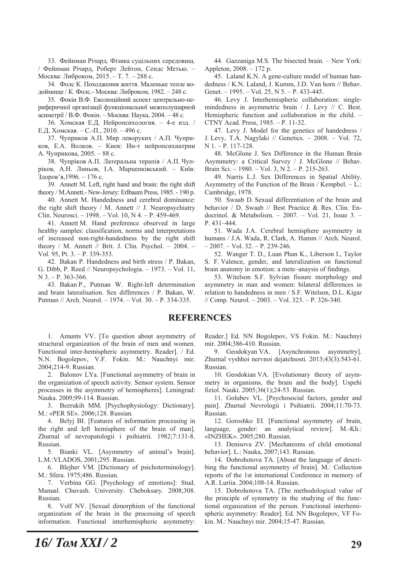33. Фейнман Річард. Фізика суцільних середовищ. / Фейнман Річард, Роберт Лейтон, Сендс Метью. -Москва: Либроком, 2015. - Т. 7. - 288 с.

34. Фолс К. Походження життя. Маленьке тепле водоймище / К. Фолс.- Москва: Либроком, 1982. - 248 с.

35. Фокін В.Ф. Еволюційний аспект центрально-периферичної організації функціональної межполушарной асиметрії / В.Ф. Фокін. – Москва: Наука, 2004. – 48 с.

36. Хомская Е.Д. Нейропсихология. - 4-е изд. / Е.Д. Хомская. - С.-П., 2010. - 496 с.

37. Чуприков А.П. Мир леворуких / А.П. Чуприков, Е.А. Волков. - Киев: Ин-т нейропсихиатрии А. Чуприкова, 2005. - 88 с.

38. Чупріков А.П. Латеральна терапія / А.П. Чупріков, А.Н. Линьов, І.А. Марценківський. - Київ: Здоров'я, 1996. – 176 с.

39. Annett M. Left, right hand and brain: the right shift theory / M.Annett.- New-Jersey: Erlbaum Press, 1985. - 190 p.

40. Annett M. Handedness and cerebral dominance: the right shift theory / M. Annett // J. Neuropsychiatry Clin. Neurosci.  $-1998. -$  Vol. 10, N 4.  $-$  P. 459-469.

41. Annett M. Hand preference observed in large healthy samples: classification, norms and interpretations of increased non-right-handedness by the right shift theory / M. Annett // Brit. J. Clin. Psychol.  $- 2004$ .  $-$ Vol. 95, Pt.  $3. - P. 339-353$ .

42. Bakan P. Handedness and birth stress / P. Bakan. G. Dibb, P. Reed // Neuropsychologia.  $-1973. -$  Vol. 11,  $N$  3. - P. 363-366.

43. Bakan P., Putman W. Right-left determination and brain lateralisation. Sex differences / P. Bakan, W. Putman // Arch. Neurol.  $- 1974$ .  $- Vol. 30$ .  $- P. 334-335$ .

44. Gazzaniga M.S. The bisected brain. - New York: Appleton,  $2008. - 172$  p.

45. Laland K.N. A gene-culture model of human handedness / K.N. Laland, J. Kumm, J.D. Van horn // Behav. Genet.  $-1995. - Vol. 25$ , N 5.  $- P. 433-445.$ 

46. Levy J. Interhemispheric collaboration: singlemindedness in asymmetric brain  $/$  J. Levy  $//$  C. Best. Hemispheric function and collaboration in the child.  $CTNY$  Acad. Press,  $1985. - P$ ,  $11-32$ .

47. Levy J. Model for the genetics of handedness / J. Levy, T.A. Nagylaki // Genetics. - 2008. - Vol. 72,  $N$  1. - P. 117-128.

48. McGlone J. Sex Difference in the Human Brain Asymmetry: a Critical Survey / J. McGlone // Behav. Brain Sci. - 1980. - Vol. 3, N 2. - P. 215-263.

49. Narris L.J. Sex Differences in Spatial Ability. Asymmetry of the Function of the Brain / Kempbel.  $-$  L.: Cambridge, 1978.

50. Swaab D. Sexual differentiation of the brain and behavior / D. Swaab // Best Practice & Res. Clin. Endocrinol. & Metabolism.  $-2007. -$  Vol. 21, Issue 3.  $-$ P. 431-444.

51. Wada J.A. Cerebral hemisphere asymmetry in humans / J.A. Wada, R. Clark, A. Hamm // Arch. Neurol.  $-2007. - Vol. 32. - P. 239-246.$ 

52. Wanger T. D., Luan Phan K., Liberson I., Taylor S. F. Valence, gender, and lateralization on functional brain anatomy in emotion: a mete-anaysis of findings.

53. Witelson S.F. Sylvian fissure morphology and asymmetry in man and women: bilateral differences in relation to handedness in men / S.F. Witelson, D.L. Kigar  $\text{/}\text{/}$  Comp. Neurol.  $-2003. -$  Vol. 323.  $-$  P. 326-340.

# **REFERENCES**

1. Amunts VV. [To question about asymmetry of structural organization of the brain of men and women. Functional inter-hemispheric asymmetry. Reader]. / Ed. N.N. Bogolepov, V.F. Fokin. M.: Nauchnyi mir. 2004;214-9. Russian.

2. Balonov LYa. [Functional asymmetry of brain in the organization of speech activity. Sensor system. Sensor processes in the asymmetry of hemispheres]. Leningrad: Nauka. 2009;99-114. Russian.

3. Bezrukih MM. [Psychophysiology: Dictionary]. M.: «PER SE». 2006;128. Russian.

4. Belyj BI. [Features of information processing in the right and left hemisphere of the brain of man]. Zhurnal of nevropatologii i psihiatrii. 1982;7:131-8. Russian.

5. Bianki VL. [Asymmetry of animal's brain]. L.M.:VLADOS, 2001;295. Russian.

6. Blejher VM. [Dictionary of psichoterminology]. M.: Sfera. 1975;486. Russian.

7. Verbina GG. [Psychology of emotions]: Stud. Manual. Chuvash. University. Cheboksary. 2008;308. Russian.

8. Volf NV. [Sexual dimorphism of the functional organization of the brain in the processing of speech information. Functional interhemispheric asymmetry:

Reader.] Ed. NN Bogolepov, VS Fokin. M.: Nauchnyi mir. 2004;386-410. Russian.

9. Geodokyan VA. [Asynchronous asymmetry]. Zhurnal vyshhoi nervnoi dejatelnosti. 2013;43(3):543-61. Russian.

10. Geodokian VA. [Evolutionary theory of asymmetry in organisms, the brain and the body]. Uspehi fiziol. Nauki. 2005;36(1);24-53. Russian.

11. Golubev VL. [Psychosocial factors, gender and pain]. Zhurnal Nevrologii i Psihiatrii. 2004;11:70-73. Russian.

12. Goroshko EI. [Functional asymmetry of brain, language, gender: an analytical review]. M.-Kh.: «INZHEK». 2005;280. Russian.

13. Denisova ZV. [Mechanisms of child emotional behavior]. L.: Nauka, 2007;143. Russian.

14. Dobrohotova TA. [About the language of describing the functional asymmetry of brain]. M.: Collection reports of the 1st international Conference in memory of A.R. Luriia. 2004;108-14. Russian.

15. Dobrohotova TA. [The methodological value of the principle of symmetry in the studying of the functional organization of the person. Functional interhemispheric asymmetry: Reader]. Ed. NN Bogolepov, VF Fokin. M.: Nauchnyi mir. 2004;15-47. Russian.